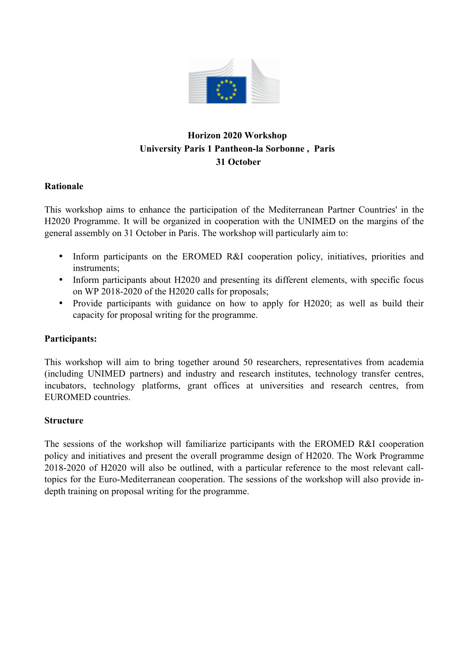

# **Horizon 2020 Workshop University Paris 1 Pantheon-la Sorbonne , Paris 31 October**

# **Rationale**

This workshop aims to enhance the participation of the Mediterranean Partner Countries' in the H2020 Programme. It will be organized in cooperation with the UNIMED on the margins of the general assembly on 31 October in Paris. The workshop will particularly aim to:

- Inform participants on the EROMED R&I cooperation policy, initiatives, priorities and instruments;
- Inform participants about H2020 and presenting its different elements, with specific focus on WP 2018-2020 of the H2020 calls for proposals;
- Provide participants with guidance on how to apply for H2020; as well as build their capacity for proposal writing for the programme.

# **Participants:**

This workshop will aim to bring together around 50 researchers, representatives from academia (including UNIMED partners) and industry and research institutes, technology transfer centres, incubators, technology platforms, grant offices at universities and research centres, from EUROMED countries.

# **Structure**

The sessions of the workshop will familiarize participants with the EROMED R&I cooperation policy and initiatives and present the overall programme design of H2020. The Work Programme 2018-2020 of H2020 will also be outlined, with a particular reference to the most relevant calltopics for the Euro-Mediterranean cooperation. The sessions of the workshop will also provide indepth training on proposal writing for the programme.